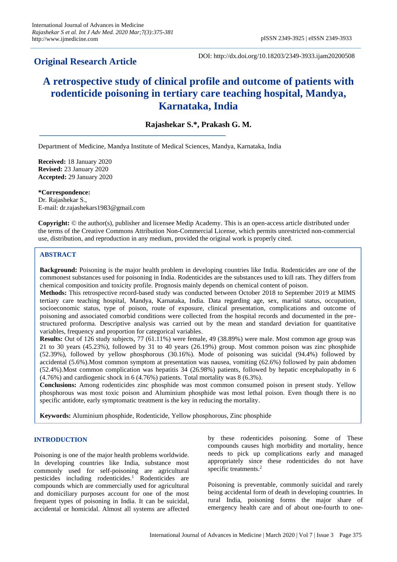# **Original Research Article**

DOI: http://dx.doi.org/10.18203/2349-3933.ijam20200508

# **A retrospective study of clinical profile and outcome of patients with rodenticide poisoning in tertiary care teaching hospital, Mandya, Karnataka, India**

**Rajashekar S.\*, Prakash G. M.**

Department of Medicine, Mandya Institute of Medical Sciences, Mandya, Karnataka, India

**Received:** 18 January 2020 **Revised:** 23 January 2020 **Accepted:** 29 January 2020

**\*Correspondence:** Dr. Rajashekar S., E-mail: dr.rajashekars1983@gmail.com

**Copyright:** © the author(s), publisher and licensee Medip Academy. This is an open-access article distributed under the terms of the Creative Commons Attribution Non-Commercial License, which permits unrestricted non-commercial use, distribution, and reproduction in any medium, provided the original work is properly cited.

# **ABSTRACT**

**Background:** Poisoning is the major health problem in developing countries like India. Rodenticides are one of the commonest substances used for poisoning in India. Rodenticides are the substances used to kill rats. They differs from chemical composition and toxicity profile. Prognosis mainly depends on chemical content of poison.

**Methods:** This retrospective record-based study was conducted between October 2018 to September 2019 at MIMS tertiary care teaching hospital, Mandya, Karnataka, India. Data regarding age, sex, marital status, occupation, socioeconomic status, type of poison, route of exposure, clinical presentation, complications and outcome of poisoning and associated comorbid conditions were collected from the hospital records and documented in the prestructured proforma. Descriptive analysis was carried out by the mean and standard deviation for quantitative variables, frequency and proportion for categorical variables.

**Results:** Out of 126 study subjects, 77 (61.11%) were female, 49 (38.89%) were male. Most common age group was 21 to 30 years (45.23%), followed by 31 to 40 years (26.19%) group. Most common poison was zinc phosphide (52.39%), followed by yellow phosphorous (30.16%). Mode of poisoning was suicidal (94.4%) followed by accidental (5.6%).Most common symptom at presentation was nausea, vomiting (62.6%) followed by pain abdomen (52.4%).Most common complication was hepatitis 34 (26.98%) patients, followed by hepatic encephalopathy in 6 (4.76%) and cardiogenic shock in 6 (4.76%) patients. Total mortality was 8 (6.3%).

**Conclusions:** Among rodenticides zinc phosphide was most common consumed poison in present study. Yellow phosphorous was most toxic poison and Aluminium phosphide was most lethal poison. Even though there is no specific antidote, early symptomatic treatment is the key in reducing the mortality.

**Keywords:** Aluminium phosphide, Rodenticide, Yellow phosphorous, Zinc phosphide

#### **INTRODUCTION**

Poisoning is one of the major health problems worldwide. In developing countries like India, substance most commonly used for self-poisoning are agricultural pesticides including rodenticides. <sup>1</sup> Rodenticides are compounds which are commercially used for agricultural and domiciliary purposes account for one of the most frequent types of poisoning in India. It can be suicidal, accidental or homicidal. Almost all systems are affected by these rodenticides poisoning. Some of These compounds causes high morbidity and mortality, hence needs to pick up complications early and managed appropriately since these rodenticides do not have specific treatments.<sup>2</sup>

Poisoning is preventable, commonly suicidal and rarely being accidental form of death in developing countries. In rural India, poisoning forms the major share of emergency health care and of about one-fourth to one-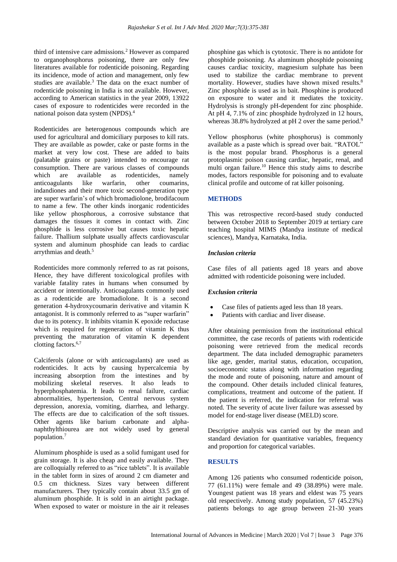third of intensive care admissions.<sup>2</sup> However as compared to organophosphorus poisoning, there are only few literatures available for rodenticide poisoning. Regarding its incidence, mode of action and management, only few studies are available.<sup>3</sup> The data on the exact number of rodenticide poisoning in India is not available. However, according to American statistics in the year 2009, 13922 cases of exposure to rodenticides were recorded in the national poison data system (NPDS).<sup>4</sup>

Rodenticides are heterogenous compounds which are used for agricultural and domiciliary purposes to kill rats. They are available as powder, cake or paste forms in the market at very low cost. These are added to baits (palatable grains or paste) intended to encourage rat consumption. There are various classes of compounds which are available as rodenticides, namely anticoagulants like warfarin, other coumarins, indandiones and their more toxic second-generation type are super warfarin's of which bromadiolone, brodifacoum to name a few. The other kinds inorganic rodenticides like yellow phosphorous, a corrosive substance that damages the tissues it comes in contact with. Zinc phosphide is less corrosive but causes toxic hepatic failure. Thallium sulphate usually affects cardiovascular system and aluminum phosphide can leads to cardiac arrythmias and death.<sup>5</sup>

Rodenticides more commonly referred to as rat poisons, Hence, they have different toxicological profiles with variable fatality rates in humans when consumed by accident or intentionally. Anticoagulants commonly used as a rodenticide are bromadiolone. It is a second generation 4-hydroxycoumarin derivative and vitamin K antagonist. It is commonly referred to as "super warfarin" due to its potency. It inhibits vitamin K epoxide reductase which is required for regeneration of vitamin K thus preventing the maturation of vitamin K dependent clotting factors.<sup>6,7</sup>

Calciferols (alone or with anticoagulants) are used as rodenticides. It acts by causing hypercalcemia by increasing absorption from the intestines and by mobilizing skeletal reserves. It also leads to hyperphosphatemia. It leads to renal failure, cardiac abnormalities, hypertension, Central nervous system depression, anorexia, vomiting, diarrhea, and lethargy. The effects are due to calcification of the soft tissues. Other agents like barium carbonate and alphanaphthylthiourea are not widely used by general population.<sup>7</sup>

Aluminum phosphide is used as a solid fumigant used for grain storage. It is also cheap and easily available. They are colloquially referred to as "rice tablets". It is available in the tablet form in sizes of around 2 cm diameter and 0.5 cm thickness. Sizes vary between different manufacturers. They typically contain about 33.5 gm of aluminum phosphide. It is sold in an airtight package. When exposed to water or moisture in the air it releases phosphine gas which is cytotoxic. There is no antidote for phosphide poisoning. As aluminum phosphide poisoning causes cardiac toxicity, magnesium sulphate has been used to stabilize the cardiac membrane to prevent mortality. However, studies have shown mixed results.<sup>8</sup> Zinc phosphide is used as in bait. Phosphine is produced on exposure to water and it mediates the toxicity. Hydrolysis is strongly pH-dependent for zinc phosphide. At pH 4, 7.1% of zinc phosphide hydrolyzed in 12 hours, whereas 38.8% hydrolyzed at pH 2 over the same period.<sup>9</sup>

Yellow phosphorus (white phosphorus) is commonly available as a paste which is spread over bait. "RATOL" is the most popular brand. Phosphorus is a general protoplasmic poison causing cardiac, hepatic, renal, and multi organ failure.<sup>10</sup> Hence this study aims to describe modes, factors responsible for poisoning and to evaluate clinical profile and outcome of rat killer poisoning.

# **METHODS**

This was retrospective record-based study conducted between October 2018 to September 2019 at tertiary care teaching hospital MIMS (Mandya institute of medical sciences), Mandya, Karnataka, India.

# *Inclusion criteria*

Case files of all patients aged 18 years and above admitted with rodenticide poisoning were included.

#### *Exclusion criteria*

- Case files of patients aged less than 18 years.
- Patients with cardiac and liver disease.

After obtaining permission from the institutional ethical committee, the case records of patients with rodenticide poisoning were retrieved from the medical records department. The data included demographic parameters like age, gender, marital status, education, occupation, socioeconomic status along with information regarding the mode and route of poisoning, nature and amount of the compound. Other details included clinical features, complications, treatment and outcome of the patient. If the patient is referred, the indication for referral was noted. The severity of acute liver failure was assessed by model for end-stage liver disease (MELD) score.

Descriptive analysis was carried out by the mean and standard deviation for quantitative variables, frequency and proportion for categorical variables.

# **RESULTS**

Among 126 patients who consumed rodenticide poison, 77 (61.11%) were female and 49 (38.89%) were male. Youngest patient was 18 years and eldest was 75 years old respectively. Among study population, 57 (45.23%) patients belongs to age group between 21-30 years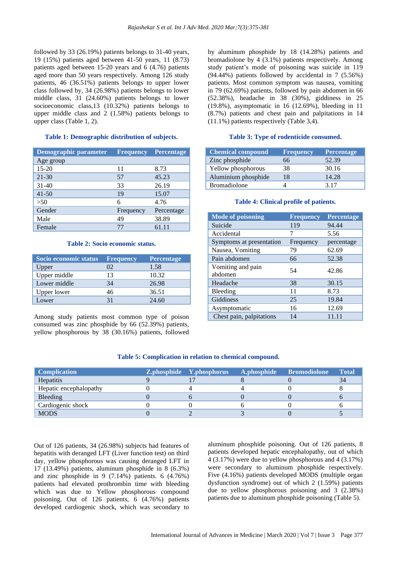followed by 33 (26.19%) patients belongs to 31-40 years, 19 (15%) patients aged between 41-50 years, 11 (8.73) patients aged between 15-20 years and 6 (4.76) patients aged more than 50 years respectively. Among 126 study patients, 46 (36.51%) patients belongs to upper lower class followed by, 34 (26.98%) patients belongs to lower middle class, 31 (24.60%) patients belongs to lower socioeconomic class,13 (10.32%) patients belongs to upper middle class and 2 (1.58%) patients belongs to upper class (Table 1, 2).

#### **Table 1: Demographic distribution of subjects.**

| Demographic parameter | <b>Frequency</b> | Percentage |
|-----------------------|------------------|------------|
| Age group             |                  |            |
| $15 - 20$             | 11               | 8.73       |
| $21 - 30$             | 57               | 45.23      |
| $31 - 40$             | 33               | 26.19      |
| $41 - 50$             | 19               | 15.07      |
| >50                   | 6                | 4.76       |
| Gender                | Frequency        | Percentage |
| Male                  | 49               | 38.89      |
| Female                | 77               | 61.11      |

#### **Table 2: Socio economic status.**

| Socio economic status | <b>Frequency</b> | Percentage |
|-----------------------|------------------|------------|
| Upper                 | $^{12}$          | 1.58       |
| Upper middle          | 13               | 10.32      |
| Lower middle          | 34               | 26.98      |
| Upper lower           | 46               | 36.51      |
| Lower                 | 31               | 24.60      |

Among study patients most common type of poison consumed was zinc phosphide by 66 (52.39%) patients, yellow phosphorous by 38 (30.16%) patients, followed by aluminum phosphide by 18 (14.28%) patients and bromadiolone by 4 (3.1%) patients respectively. Among study patient's mode of poisoning was suicide in 119 (94.44%) patients followed by accidental in 7 (5.56%) patients. Most common symptom was nausea, vomiting in 79 (62.69%) patients, followed by pain abdomen in 66 (52.38%), headache in 38 (30%), giddiness in 25 (19.8%), asymptomatic in 16 (12.69%), bleeding in 11 (8.7%) patients and chest pain and palpitations in 14 (11.1%) patients respectively (Table 3,4).

#### **Table 3: Type of rodenticide consumed.**

| <b>Chemical compound</b> | <b>Frequency</b> | <b>Percentage</b> |
|--------------------------|------------------|-------------------|
| Zinc phosphide           | 66               | 52.39             |
| Yellow phosphorous       | 38               | 30.16             |
| Aluminium phosphide      | 18               | 14.28             |
| <b>Bromadiolone</b>      |                  | 3.17              |

#### **Table 4: Clinical profile of patients.**

| <b>Mode of poisoning</b>     | <b>Frequency</b> | Percentage |
|------------------------------|------------------|------------|
| Suicide                      | 119              | 94.44      |
| Accidental                   | 7                | 5.56       |
| Symptoms at presentation     | Frequency        | percentage |
| Nausea, Vomiting             | 79               | 62.69      |
| Pain abdomen                 | 66               | 52.38      |
| Vomiting and pain<br>abdomen | 54               | 42.86      |
| Headache                     | 38               | 30.15      |
| Bleeding                     | 11               | 8.73       |
| Giddiness                    | 25               | 19.84      |
| Asymptomatic                 | 16               | 12.69      |
| Chest pain, palpitations     | 14               | 11.11      |

### **Table 5: Complication in relation to chemical compound.**

| <b>Complication</b>    | <b>Z.phosphide</b> Y.phosphorus | A.phosphide Bromodiolone | <b>Total</b> |
|------------------------|---------------------------------|--------------------------|--------------|
| Hepatitis              |                                 |                          | 34           |
| Hepatic encephalopathy |                                 |                          |              |
| Bleeding               |                                 |                          |              |
| Cardiogenic shock      |                                 |                          |              |
| <b>MODS</b>            |                                 |                          |              |

Out of 126 patients, 34 (26.98%) subjects had features of hepatitis with deranged LFT (Liver function test) on third day, yellow phosphorous was causing deranged LFT in 17 (13.49%) patients, aluminum phosphide in 8 (6.3%) and zinc phosphide in 9 (7.14%) patients. 6 (4.76%) patients had elevated prothrombin time with bleeding which was due to Yellow phosphorous compound poisoning. Out of 126 patients, 6 (4.76%) patients developed cardiogenic shock, which was secondary to aluminum phosphide poisoning. Out of 126 patients, 8 patients developed hepatic encephalopathy, out of which 4 (3.17%) were due to yellow phosphorous and 4 (3.17%) were secondary to aluminum phosphide respectively. Five (4.16%) patients developed MODS (multiple organ dysfunction syndrome) out of which 2 (1.59%) patients due to yellow phosphorous poisoning and 3 (2.38%) patients due to aluminum phosphide poisoning (Table 5).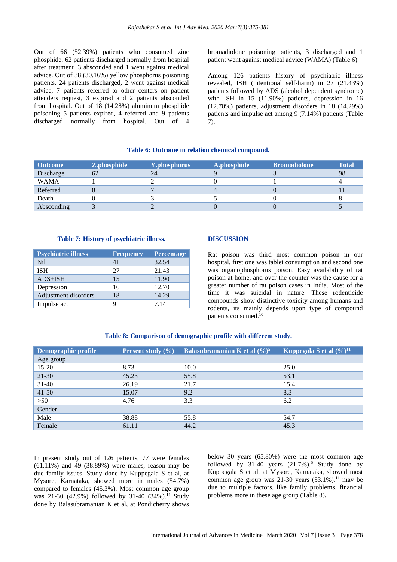Out of 66 (52.39%) patients who consumed zinc phosphide, 62 patients discharged normally from hospital after treatment ,3 absconded and 1 went against medical advice. Out of 38 (30.16%) yellow phosphorus poisoning patients, 24 patients discharged, 2 went against medical advice, 7 patients referred to other centers on patient attenders request, 3 expired and 2 patients absconded from hospital. Out of 18 (14.28%) aluminum phosphide poisoning 5 patients expired, 4 referred and 9 patients discharged normally from hospital. Out of 4 bromadiolone poisoning patients, 3 discharged and 1 patient went against medical advice (WAMA) (Table 6).

Among 126 patients history of psychiatric illness revealed, ISH (intentional self-harm) in 27 (21.43%) patients followed by ADS (alcohol dependent syndrome) with ISH in 15 (11.90%) patients, depression in 16 (12.70%) patients, adjustment disorders in 18 (14.29%) patients and impulse act among 9 (7.14%) patients (Table 7).

### **Table 6: Outcome in relation chemical compound.**

| <b>Outcome</b> | Z.phosphide | Y.phosphorus | A.phosphide | <b>Bromodiolone</b> | <b>Total</b> |
|----------------|-------------|--------------|-------------|---------------------|--------------|
| Discharge      |             | 24           |             |                     | 98           |
| <b>WAMA</b>    |             |              |             |                     |              |
| Referred       |             |              |             |                     |              |
| Death          |             |              |             |                     |              |
| Absconding     |             |              |             |                     |              |

### **Table 7: History of psychiatric illness.**

| <b>Psychiatric illness</b> | <b>Frequency</b> | Percentage |
|----------------------------|------------------|------------|
| <b>Nil</b>                 | 41               | 32.54      |
| <b>ISH</b>                 | 27               | 21.43      |
| $ADS+ISH$                  | 15               | 11.90      |
| Depression                 | 16               | 12.70      |
| Adjustment disorders       | 18               | 14.29      |
| Impulse act                |                  | 7 14       |

# **DISCUSSION**

Rat poison was third most common poison in our hospital, first one was tablet consumption and second one was organophosphorus poison. Easy availability of rat poison at home, and over the counter was the cause for a greater number of rat poison cases in India. Most of the time it was suicidal in nature. These rodenticide compounds show distinctive toxicity among humans and rodents, its mainly depends upon type of compound patients consumed.<sup>10</sup>

#### **Table 8: Comparison of demographic profile with different study.**

| Demographic profile | <b>Present study</b> $(\% )$ | Balasubramanian K et al $(\frac{9}{6})^5$ | Kuppegala S et al $(\frac{9}{6})^{11}$ |
|---------------------|------------------------------|-------------------------------------------|----------------------------------------|
| Age group           |                              |                                           |                                        |
| 15-20               | 8.73                         | 10.0                                      | 25.0                                   |
| $21 - 30$           | 45.23                        | 55.8                                      | 53.1                                   |
| $31 - 40$           | 26.19                        | 21.7                                      | 15.4                                   |
| $41 - 50$           | 15.07                        | 9.2                                       | 8.3                                    |
| >50                 | 4.76                         | 3.3                                       | 6.2                                    |
| Gender              |                              |                                           |                                        |
| Male                | 38.88                        | 55.8                                      | 54.7                                   |
| Female              | 61.11                        | 44.2                                      | 45.3                                   |

In present study out of 126 patients, 77 were females (61.11%) and 49 (38.89%) were males, reason may be due family issues. Study done by Kuppegala S et al, at Mysore, Karnataka, showed more in males (54.7%) compared to females (45.3%). Most common age group was 21-30 (42.9%) followed by 31-40 (34%).<sup>11</sup> Study done by Balasubramanian K et al, at Pondicherry shows

below 30 years (65.80%) were the most common age followed by 31-40 years  $(21.7\%)$ <sup>5</sup> Study done by Kuppegala S et al, at Mysore, Karnataka, showed most common age group was  $21-30$  years  $(53.1\%)$ .<sup>11</sup> may be due to multiple factors, like family problems, financial problems more in these age group (Table 8).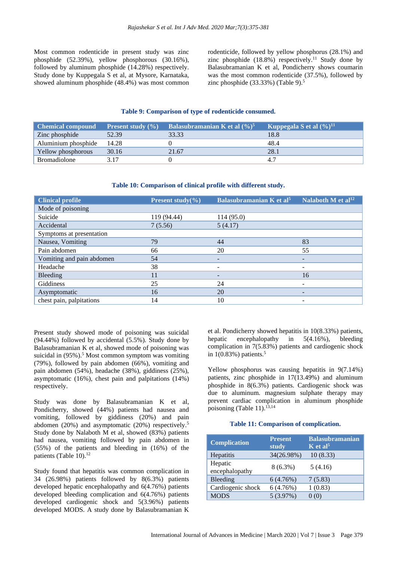Most common rodenticide in present study was zinc phosphide (52.39%), yellow phosphorous (30.16%), followed by aluminum phosphide (14.28%) respectively. Study done by Kuppegala S et al, at Mysore, Karnataka, showed aluminum phosphide (48.4%) was most common rodenticide, followed by yellow phosphorus (28.1%) and zinc phosphide  $(18.8\%)$  respectively.<sup>11</sup> Study done by Balasubramanian K et al, Pondicherry shows coumarin was the most common rodenticide (37.5%), followed by zinc phosphide  $(33.33\%)$  (Table 9).<sup>5</sup>

#### **Table 9: Comparison of type of rodenticide consumed.**

| <b>Chemical compound</b> | <b>Present study</b> $(\%)$ | <b>Balasubramanian K</b> et al $(\frac{9}{6})^5$ | Kuppegala S et al $(\frac{6}{11})^{11}$ |
|--------------------------|-----------------------------|--------------------------------------------------|-----------------------------------------|
| Zinc phosphide           | 52.39                       | 33.33                                            | 18.8                                    |
| Aluminium phosphide      | 14.28                       |                                                  | 48.4                                    |
| Yellow phosphorous       | 30.16                       | 21.67                                            | 28.1                                    |
| <b>Bromadiolone</b>      | 3 17                        |                                                  |                                         |

### **Table 10: Comparison of clinical profile with different study.**

| <b>Clinical profile</b>   | <b>Present study</b> $(\% )$ | Balasubramanian K et al <sup>5</sup> | Nalaboth $\overline{M}$ et al <sup>12</sup> |
|---------------------------|------------------------------|--------------------------------------|---------------------------------------------|
| Mode of poisoning         |                              |                                      |                                             |
| Suicide                   | 119 (94.44)                  | 114(95.0)                            |                                             |
| Accidental                | 7(5.56)                      | 5(4.17)                              |                                             |
| Symptoms at presentation  |                              |                                      |                                             |
| Nausea, Vomiting          | 79                           | 44                                   | 83                                          |
| Pain abdomen              | 66                           | 20                                   | 55                                          |
| Vomiting and pain abdomen | 54                           | -                                    | -                                           |
| Headache                  | 38                           |                                      |                                             |
| Bleeding                  | 11                           |                                      | 16                                          |
| Giddiness                 | 25                           | 24                                   | ۰                                           |
| Asymptomatic              | 16                           | 20                                   | -                                           |
| chest pain, palpitations  | 14                           | 10                                   |                                             |

Present study showed mode of poisoning was suicidal (94.44%) followed by accidental (5.5%). Study done by Balasubramanian K et al, showed mode of poisoning was suicidal in (95%). <sup>5</sup> Most common symptom was vomiting (79%), followed by pain abdomen (66%), vomiting and pain abdomen (54%), headache (38%), giddiness (25%), asymptomatic (16%), chest pain and palpitations (14%) respectively.

Study was done by Balasubramanian K et al, Pondicherry, showed (44%) patients had nausea and vomiting, followed by giddiness (20%) and pain abdomen (20%) and asymptomatic (20%) respectively.<sup>5</sup> Study done by Nalaboth M et al, showed (83%) patients had nausea, vomiting followed by pain abdomen in (55%) of the patients and bleeding in (16%) of the patients (Table 10).<sup>12</sup>

Study found that hepatitis was common complication in 34 (26.98%) patients followed by 8(6.3%) patients developed hepatic encephalopathy and 6(4.76%) patients developed bleeding complication and 6(4.76%) patients developed cardiogenic shock and 5(3.96%) patients developed MODS. A study done by Balasubramanian K et al. Pondicherry showed hepatitis in 10(8.33%) patients, hepatic encephalopathy in 5(4.16%), bleeding complication in 7(5.83%) patients and cardiogenic shock in 1(0.83%) patients. 5

Yellow phosphorus was causing hepatitis in 9(7.14%) patients, zinc phosphide in 17(13.49%) and aluminum phosphide in 8(6.3%) patients. Cardiogenic shock was due to aluminum. magnesium sulphate therapy may prevent cardiac complication in aluminum phosphide poisoning (Table 11).<sup>13,14</sup>

#### **Table 11: Comparison of complication.**

| <b>Complication</b>       | <b>Present</b><br>study | <b>Balasubramanian</b><br>$K$ et al <sup>5</sup> |
|---------------------------|-------------------------|--------------------------------------------------|
| Hepatitis                 | 34(26.98%)              | 10(8.33)                                         |
| Hepatic<br>encephalopathy | $8(6.3\%)$              | 5(4.16)                                          |
| Bleeding                  | 6(4.76%)                | 7(5.83)                                          |
| Cardiogenic shock         | 6(4.76%)                | 1(0.83)                                          |
| <b>MODS</b>               | 5(3.97%)                | (0)                                              |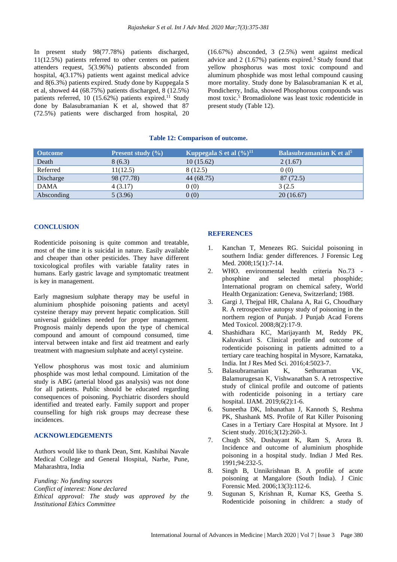In present study 98(77.78%) patients discharged, 11(12.5%) patients referred to other centers on patient attenders request, 5(3.96%) patients absconded from hospital, 4(3.17%) patients went against medical advice and 8(6.3%) patients expired. Study done by Kuppegala S et al, showed 44 (68.75%) patients discharged, 8 (12.5%) patients referred, 10 (15.62%) patients expired.<sup>11</sup> Study done by Balasubramanian K et al, showed that 87 (72.5%) patients were discharged from hospital, 20 (16.67%) absconded, 3 (2.5%) went against medical advice and  $2(1.67%)$  patients expired.<sup>5</sup> Study found that yellow phosphorus was most toxic compound and aluminum phosphide was most lethal compound causing more mortality. Study done by Balasubramanian K et al, Pondicherry, India, showed Phosphorous compounds was most toxic.<sup>5</sup> Bromadiolone was least toxic rodenticide in present study (Table 12).

#### **Table 12: Comparison of outcome.**

| Outcome     | <b>Present study</b> $(\% )$ | <b>Kuppegala S</b> et al $(\%)^{11}$ | Balasubramanian K et al <sup>5</sup> |
|-------------|------------------------------|--------------------------------------|--------------------------------------|
| Death       | 8(6.3)                       | 10(15.62)                            | 2(1.67)                              |
| Referred    | 11(12.5)                     | 8 (12.5)                             | 0(0)                                 |
| Discharge   | 98 (77.78)                   | 44 (68.75)                           | 87 (72.5)                            |
| <b>DAMA</b> | 4(3.17)                      | 0(0)                                 | 3(2.5)                               |
| Absconding  | 5(3.96)                      | 0(0)                                 | 20(16.67)                            |

#### **CONCLUSION**

Rodenticide poisoning is quite common and treatable, most of the time it is suicidal in nature. Easily available and cheaper than other pesticides. They have different toxicological profiles with variable fatality rates in humans. Early gastric lavage and symptomatic treatment is key in management.

Early magnesium sulphate therapy may be useful in aluminium phosphide poisoning patients and acetyl cysteine therapy may prevent hepatic complication. Still universal guidelines needed for proper management. Prognosis mainly depends upon the type of chemical compound and amount of compound consumed, time interval between intake and first aid treatment and early treatment with magnesium sulphate and acetyl cysteine.

Yellow phosphorus was most toxic and aluminium phosphide was most lethal compound. Limitation of the study is ABG (arterial blood gas analysis) was not done for all patients. Public should be educated regarding consequences of poisoning. Psychiatric disorders should identified and treated early. Family support and proper counselling for high risk groups may decrease these incidences.

# **ACKNOWLEDGEMENTS**

Authors would like to thank Dean, Smt. Kashibai Navale Medical College and General Hospital, Narhe, Pune, Maharashtra, India

*Funding: No funding sources Conflict of interest: None declared Ethical approval: The study was approved by the Institutional Ethics Committee*

### **REFERENCES**

- 1. Kanchan T, Menezes RG. Suicidal poisoning in southern India: gender differences. J Forensic Leg Med. 2008;15(1):7-14.
- 2. WHO. environmental health criteria No.73 phosphine and selected metal phosphide; International program on chemical safety, World Health Organization: Geneva, Switzerland; 1988.
- 3. Gargi J, Thejpal HR, Chalana A, Rai G, Choudhary R. A retrospective autopsy study of poisoning in the northern region of Punjab. J Punjab Acad Forens Med Toxicol. 2008;8(2):17-9.
- 4. Shashidhara KC, Marijayanth M, Reddy PK, Kaluvakuri S. Clinical profile and outcome of rodenticide poisoning in patients admitted to a tertiary care teaching hospital in Mysore, Karnataka, India. Int J Res Med Sci. 2016;4:5023-7.
- 5. Balasubramanian K, Sethuraman VK, Balamurugesan K, Vishwanathan S. A retrospective study of clinical profile and outcome of patients with rodenticide poisoning in a tertiary care hospital. IJAM. 2019;6(2):1-6.
- 6. Suneetha DK, Inbanathan J, Kannoth S, Reshma PK, Shashank MS. Profile of Rat Killer Poisoning Cases in a Tertiary Care Hospital at Mysore. Int J Scient study. 2016;3(12):260-3.
- 7. Chugh SN, Dushayant K, Ram S, Arora B. Incidence and outcome of aluminium phosphide poisoning in a hospital study. Indian J Med Res. 1991;94:232-5.
- 8. Singh B, Unnikrishnan B. A profile of acute poisoning at Mangalore (South India). J Cinic Forensic Med. 2006;13(3):112-6.
- 9. Sugunan S, Krishnan R, Kumar KS, Geetha S. Rodenticide poisoning in children: a study of